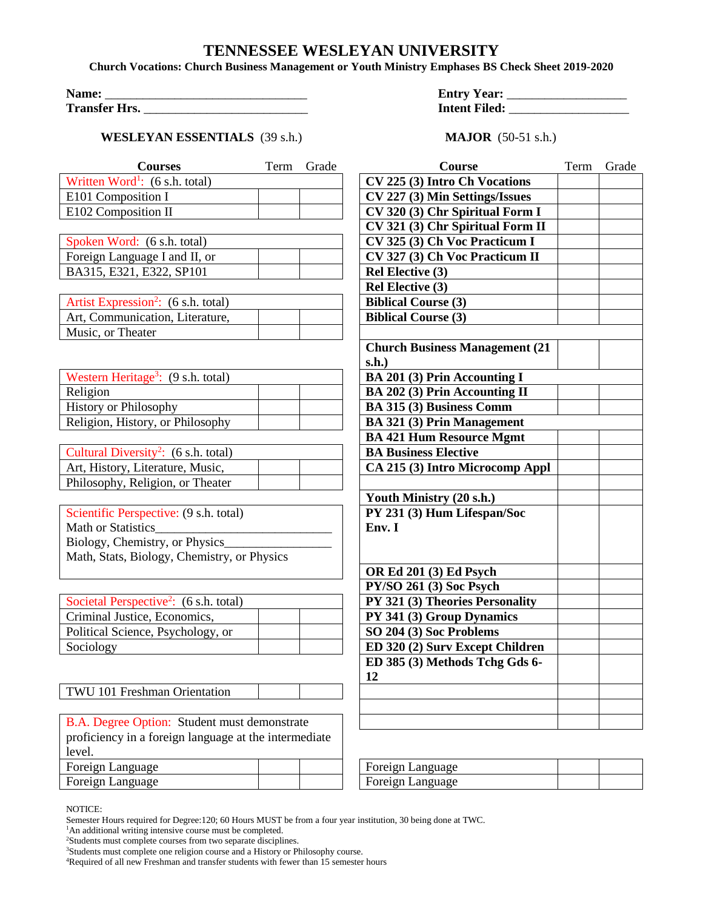## **TENNESSEE WESLEYAN UNIVERSITY**

**Church Vocations: Church Business Management or Youth Ministry Emphases BS Check Sheet 2019-2020**

| Name:                |  |
|----------------------|--|
| <b>Transfer Hrs.</b> |  |

## **WESLEYAN ESSENTIALS** (39 s.h.) **MAJOR** (50-51 s.h.)

**Name:** \_\_\_\_\_\_\_\_\_\_\_\_\_\_\_\_\_\_\_\_\_\_\_\_\_\_\_\_\_\_\_\_ **Entry Year:** \_\_\_\_\_\_\_\_\_\_\_\_\_\_\_\_\_\_\_ **Intent Filed: \_\_\_\_\_\_\_\_\_\_\_\_\_\_\_\_\_\_\_\_\_** 

| <b>Courses</b>                                               | Term | Grade | Course                                 | Term | Grade |
|--------------------------------------------------------------|------|-------|----------------------------------------|------|-------|
| Written Word <sup>1</sup> : $(6 \text{ s.h. total})$         |      |       | CV 225 (3) Intro Ch Vocations          |      |       |
| E101 Composition I                                           |      |       | CV 227 (3) Min Settings/Issues         |      |       |
| E102 Composition II                                          |      |       | CV 320 (3) Chr Spiritual Form I        |      |       |
|                                                              |      |       | CV 321 (3) Chr Spiritual Form II       |      |       |
| Spoken Word: (6 s.h. total)                                  |      |       | CV 325 (3) Ch Voc Practicum I          |      |       |
| Foreign Language I and II, or                                |      |       | CV 327 (3) Ch Voc Practicum II         |      |       |
| BA315, E321, E322, SP101                                     |      |       | <b>Rel Elective (3)</b>                |      |       |
|                                                              |      |       | <b>Rel Elective (3)</b>                |      |       |
| Artist Expression <sup>2</sup> : (6 s.h. total)              |      |       | <b>Biblical Course (3)</b>             |      |       |
| Art, Communication, Literature,                              |      |       | <b>Biblical Course (3)</b>             |      |       |
| Music, or Theater                                            |      |       |                                        |      |       |
|                                                              |      |       | <b>Church Business Management (21)</b> |      |       |
|                                                              |      |       | s.h.)                                  |      |       |
| Western Heritage <sup>3</sup> : (9 s.h. total)               |      |       | <b>BA 201 (3) Prin Accounting I</b>    |      |       |
| Religion                                                     |      |       | <b>BA 202 (3) Prin Accounting II</b>   |      |       |
| <b>History or Philosophy</b>                                 |      |       | BA 315 (3) Business Comm               |      |       |
| Religion, History, or Philosophy                             |      |       | <b>BA 321 (3) Prin Management</b>      |      |       |
|                                                              |      |       | <b>BA 421 Hum Resource Mgmt</b>        |      |       |
| Cultural Diversity <sup>2</sup> : (6 s.h. total)             |      |       | <b>BA Business Elective</b>            |      |       |
| Art, History, Literature, Music,                             |      |       | CA 215 (3) Intro Microcomp Appl        |      |       |
| Philosophy, Religion, or Theater                             |      |       |                                        |      |       |
|                                                              |      |       | Youth Ministry (20 s.h.)               |      |       |
| Scientific Perspective: (9 s.h. total)                       |      |       | PY 231 (3) Hum Lifespan/Soc            |      |       |
| Math or Statistics                                           |      |       | Env. I                                 |      |       |
| Biology, Chemistry, or Physics                               |      |       |                                        |      |       |
| Math, Stats, Biology, Chemistry, or Physics                  |      |       |                                        |      |       |
|                                                              |      |       | OR Ed 201 (3) Ed Psych                 |      |       |
|                                                              |      |       | PY/SO 261 (3) Soc Psych                |      |       |
| Societal Perspective <sup>2</sup> : $(6 \text{ s.h. total})$ |      |       | PY 321 (3) Theories Personality        |      |       |
| Criminal Justice, Economics,                                 |      |       | PY 341 (3) Group Dynamics              |      |       |
| Political Science, Psychology, or                            |      |       | SO 204 (3) Soc Problems                |      |       |
| Sociology                                                    |      |       | ED 320 (2) Surv Except Children        |      |       |
|                                                              |      |       | ED 385 (3) Methods Tchg Gds 6-         |      |       |
|                                                              |      |       | 12                                     |      |       |
| TWU 101 Freshman Orientation                                 |      |       |                                        |      |       |
|                                                              |      |       |                                        |      |       |
| B.A. Degree Option: Student must demonstrate                 |      |       |                                        |      |       |
| proficiency in a foreign language at the intermediate        |      |       |                                        |      |       |
| level.                                                       |      |       |                                        |      |       |
| Foreign Language                                             |      |       | Foreign Language                       |      |       |
| Foreign Language                                             |      |       | Foreign Language                       |      |       |

NOTICE:

Semester Hours required for Degree:120; 60 Hours MUST be from a four year institution, 30 being done at TWC.

<sup>&</sup>lt;sup>1</sup>An additional writing intensive course must be completed.

<sup>&</sup>lt;sup>2</sup>Students must complete courses from two separate disciplines.

<sup>&</sup>lt;sup>3</sup>Students must complete one religion course and a History or Philosophy course.

<sup>&</sup>lt;sup>4</sup>Required of all new Freshman and transfer students with fewer than 15 semester hours